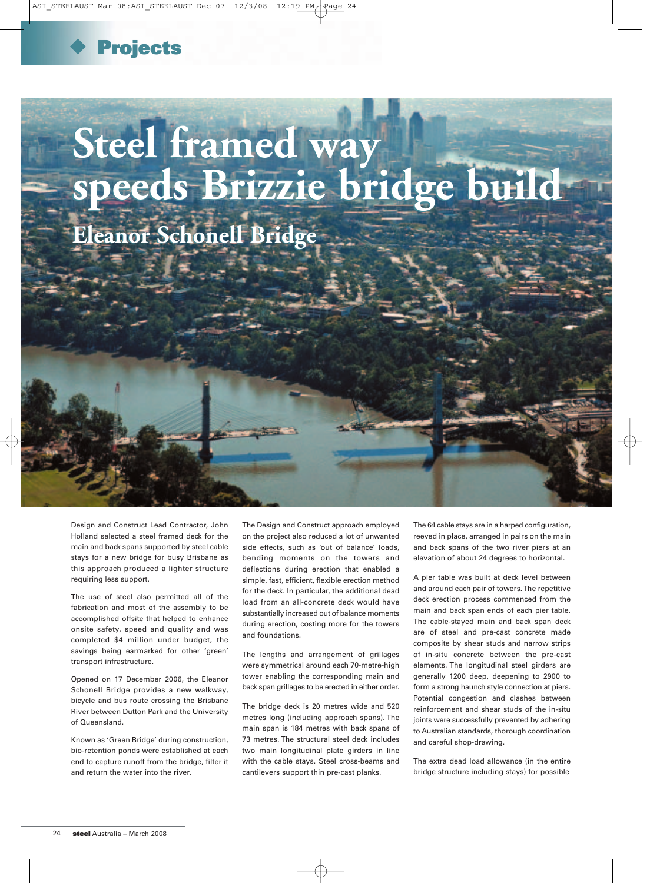

## **Steel framed way speeds Brizzie bridge build Eleanor Schonell Bridge Eleanor Schonell Bridge Steel framed way speeds Brizzie bridge build**

Design and Construct Lead Contractor, John Holland selected a steel framed deck for the main and back spans supported by steel cable stays for a new bridge for busy Brisbane as this approach produced a lighter structure requiring less support.

The use of steel also permitted all of the fabrication and most of the assembly to be accomplished offsite that helped to enhance onsite safety, speed and quality and was completed \$4 million under budget, the savings being earmarked for other 'green' transport infrastructure.

Opened on 17 December 2006, the Eleanor Schonell Bridge provides a new walkway, bicycle and bus route crossing the Brisbane River between Dutton Park and the University of Queensland.

Known as 'Green Bridge' during construction, bio-retention ponds were established at each end to capture runoff from the bridge, filter it and return the water into the river.

The Design and Construct approach employed on the project also reduced a lot of unwanted side effects, such as 'out of balance' loads, bending moments on the towers and deflections during erection that enabled a simple, fast, efficient, flexible erection method for the deck. In particular, the additional dead load from an all-concrete deck would have substantially increased out of balance moments during erection, costing more for the towers and foundations.

The lengths and arrangement of grillages were symmetrical around each 70-metre-high tower enabling the corresponding main and back span grillages to be erected in either order.

The bridge deck is 20 metres wide and 520 metres long (including approach spans). The main span is 184 metres with back spans of 73 metres. The structural steel deck includes two main longitudinal plate girders in line with the cable stays. Steel cross-beams and cantilevers support thin pre-cast planks.

The 64 cable stays are in a harped configuration, reeved in place, arranged in pairs on the main and back spans of the two river piers at an elevation of about 24 degrees to horizontal.

A pier table was built at deck level between and around each pair of towers. The repetitive deck erection process commenced from the main and back span ends of each pier table. The cable-stayed main and back span deck are of steel and pre-cast concrete made composite by shear studs and narrow strips of in-situ concrete between the pre-cast elements. The longitudinal steel girders are generally 1200 deep, deepening to 2900 to form a strong haunch style connection at piers. Potential congestion and clashes between reinforcement and shear studs of the in-situ joints were successfully prevented by adhering to Australian standards, thorough coordination and careful shop-drawing.

The extra dead load allowance (in the entire bridge structure including stays) for possible